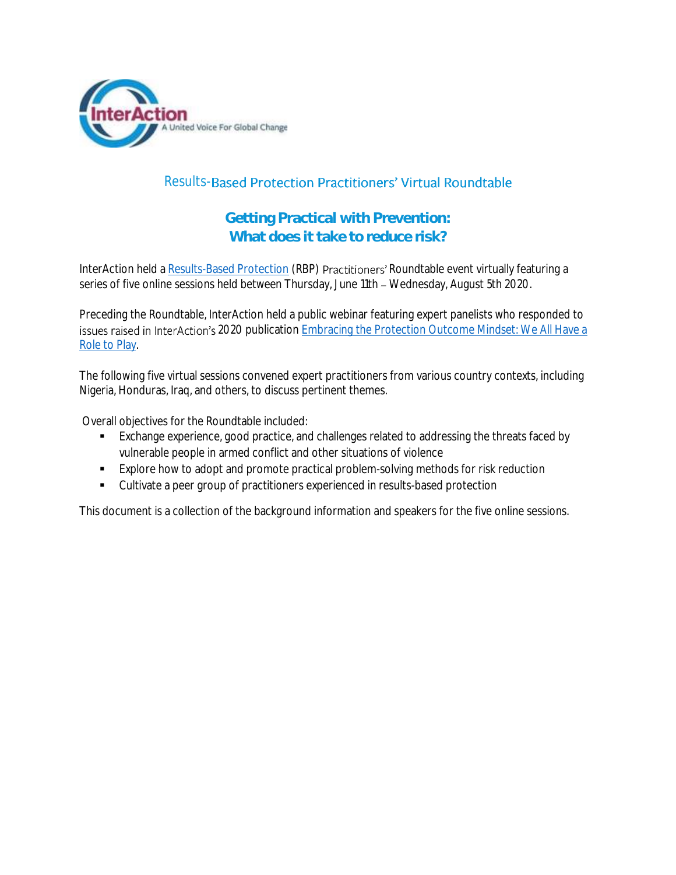

## Results-Based Protection Practitioners' Virtual Roundtable

## Getting Practical with Prevention: What does it take to reduce risk?

InterAction held a [Results-Based Protection](https://protection.interaction.org/) (RBP) Practitioners' Roundtable event virtually featuring a series of five online sessions held between Thursday, June 11th - Wednesday, August 5th 2020.

Preceding the Roundtable, InterAction held a public webinar featuring expert panelists who responded to issues raised in InterAction's 2020 publication *Embracing the Protection Outcome Mindset: We All Have a [Role to Play](https://protection.interaction.org/embracing-the-protection-outcome-mindset-we-all-have-a-role-to-play/)*.

The following five virtual sessions convened expert practitioners from various country contexts, including Nigeria, Honduras, Iraq, and others, to discuss pertinent themes.

Overall objectives for the Roundtable included:

- Exchange experience, good practice, and challenges related to addressing the threats faced by vulnerable people in armed conflict and other situations of violence
- Explore how to adopt and promote practical problem-solving methods for risk reduction
- Cultivate a peer group of practitioners experienced in results-based protection

This document is a collection of the background information and speakers for the five online sessions.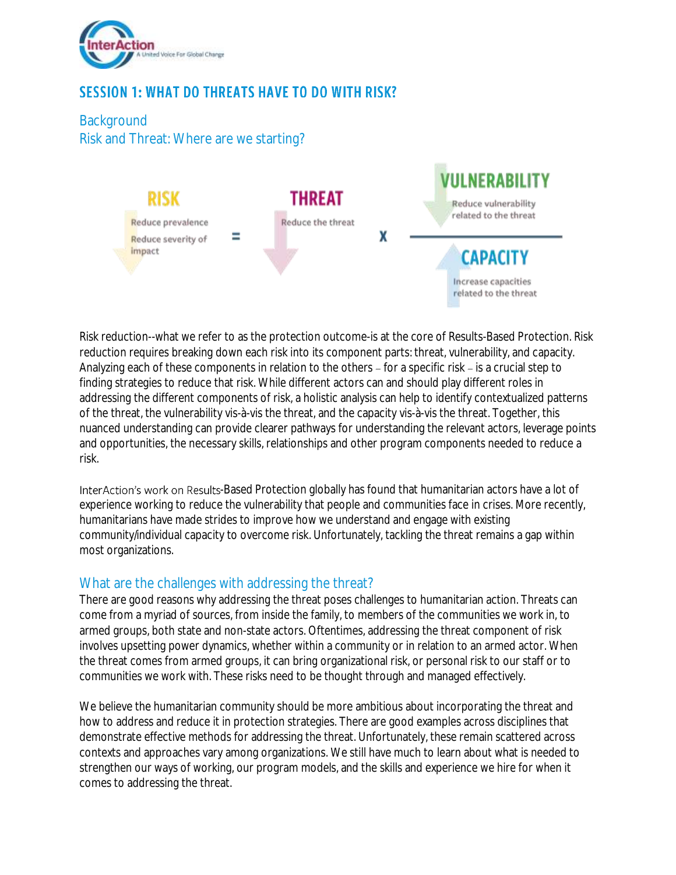

# **SESSION 1: WHAT DO THREATS HAVE TO DO WITH RISK?**

**Background** Risk and Threat: Where are we starting?



Risk reduction--what we refer to as the protection outcome-is at the core of Results-Based Protection. Risk reduction requires breaking down each risk into its component parts: threat, vulnerability, and capacity. Analyzing each of these components in relation to the others – for a specific risk – is a crucial step to finding strategies to reduce that risk. While different actors can and should play different roles in addressing the different components of risk, a holistic analysis can help to identify contextualized patterns of the threat, the vulnerability vis-à-vis the threat, and the capacity vis-à-vis the threat. Together, this nuanced understanding can provide clearer pathways for understanding the relevant actors, leverage points and opportunities, the necessary skills, relationships and other program components needed to reduce a risk.

InterAction's work on Results-Based Protection globally has found that humanitarian actors have a lot of experience working to reduce the vulnerability that people and communities face in crises. More recently, humanitarians have made strides to improve how we understand and engage with existing community/individual capacity to overcome risk. Unfortunately, tackling the threat remains a gap within most organizations.

#### What are the challenges with addressing the threat?

There are good reasons why addressing the threat poses challenges to humanitarian action. Threats can come from a myriad of sources, from inside the family, to members of the communities we work in, to armed groups, both state and non-state actors. Oftentimes, addressing the threat component of risk involves upsetting power dynamics, whether within a community or in relation to an armed actor. When the threat comes from armed groups, it can bring organizational risk, or personal risk to our staff or to communities we work with. These risks need to be thought through and managed effectively.

We believe the humanitarian community should be more ambitious about incorporating the threat and how to address and reduce it in protection strategies. There are good examples across disciplines that demonstrate effective methods for addressing the threat. Unfortunately, these remain scattered across contexts and approaches vary among organizations. We still have much to learn about what is needed to strengthen our ways of working, our program models, and the skills and experience we hire for when it comes to addressing the threat.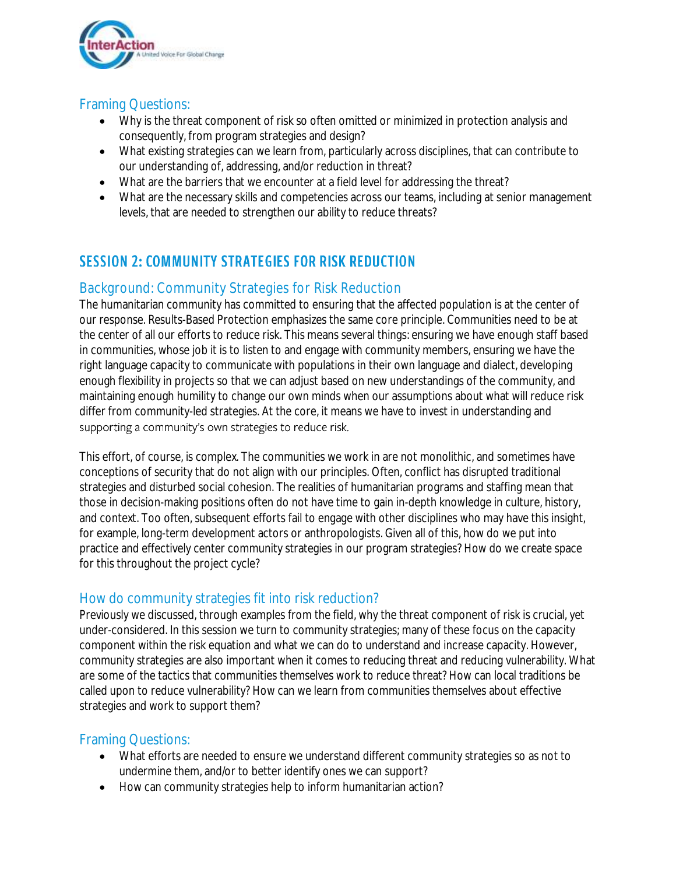

## Framing Questions:

- Why is the threat component of risk so often omitted or minimized in protection analysis and consequently, from program strategies and design?
- What existing strategies can we learn from, particularly across disciplines, that can contribute to our understanding of, addressing, and/or reduction in threat?
- What are the barriers that we encounter at a field level for addressing the threat?
- What are the necessary skills and competencies across our teams, including at senior management levels, that are needed to strengthen our ability to reduce threats?

# **SESSION 2: COMMUNITY STRATEGIES FOR RISK REDUCTION**

## Background: Community Strategies for Risk Reduction

The humanitarian community has committed to ensuring that the affected population is at the center of our response. Results-Based Protection emphasizes the same core principle. Communities need to be at the center of all our efforts to reduce risk. This means several things: ensuring we have enough staff based in communities, whose job it is to listen to and engage with community members, ensuring we have the right language capacity to communicate with populations in their own language and dialect, developing enough flexibility in projects so that we can adjust based on new understandings of the community, and maintaining enough humility to change our own minds when our assumptions about what will reduce risk differ from community-led strategies. At the core, it means we have to invest in understanding and supporting a community's own strategies to reduce risk.

This effort, of course, is complex. The communities we work in are not monolithic, and sometimes have conceptions of security that do not align with our principles. Often, conflict has disrupted traditional strategies and disturbed social cohesion. The realities of humanitarian programs and staffing mean that those in decision-making positions often do not have time to gain in-depth knowledge in culture, history, and context. Too often, subsequent efforts fail to engage with other disciplines who may have this insight, for example, long-term development actors or anthropologists. Given all of this, how do we put into practice and effectively center community strategies in our program strategies? How do we create space for this throughout the project cycle?

## How do community strategies fit into risk reduction?

Previously we discussed, through examples from the field, why the threat component of risk is crucial, yet under-considered. In this session we turn to community strategies; many of these focus on the capacity component within the risk equation and what we can do to understand and increase capacity. However, community strategies are also important when it comes to reducing threat and reducing vulnerability. What are some of the tactics that communities themselves work to reduce threat? How can local traditions be called upon to reduce vulnerability? How can we learn from communities themselves about effective strategies and work to support them?

## Framing Questions:

- What efforts are needed to ensure we understand different community strategies so as not to undermine them, and/or to better identify ones we can support?
- How can community strategies help to inform humanitarian action?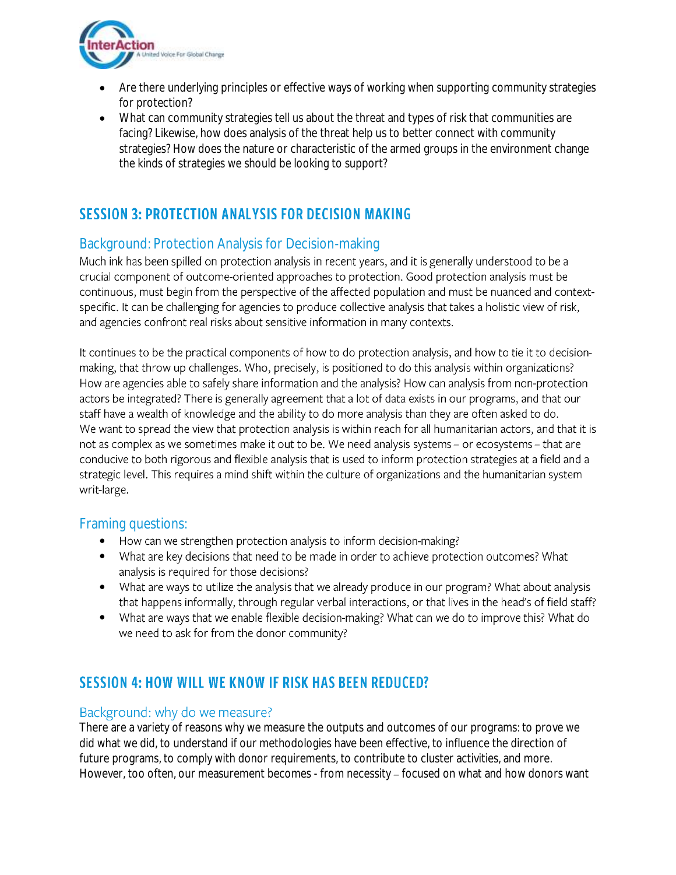

- Are there underlying principles or effective ways of working when supporting community strategies for protection?
- What can community strategies tell us about the threat and types of risk that communities are facing? Likewise, how does analysis of the threat help us to better connect with community strategies? How does the nature or characteristic of the armed groups in the environment change the kinds of strategies we should be looking to support?

## **SESSION 3: PROTECTION ANALYSIS FOR DECISION MAKING**

## Background: Protection Analysis for Decision-making

Much ink has been spilled on protection analysis in recent years, and it is generally understood to be a crucial component of outcome-oriented approaches to protection. Good protection analysis must be continuous, must begin from the perspective of the affected population and must be nuanced and contextspecific. It can be challenging for agencies to produce collective analysis that takes a holistic view of risk, and agencies confront real risks about sensitive information in many contexts.

It continues to be the practical components of how to do protection analysis, and how to tie it to decisionmaking, that throw up challenges. Who, precisely, is positioned to do this analysis within organizations? How are agencies able to safely share information and the analysis? How can analysis from non-protection actors be integrated? There is generally agreement that a lot of data exists in our programs, and that our staff have a wealth of knowledge and the ability to do more analysis than they are often asked to do. We want to spread the view that protection analysis is within reach for all humanitarian actors, and that it is not as complex as we sometimes make it out to be. We need analysis systems - or ecosystems - that are conducive to both rigorous and flexible analysis that is used to inform protection strategies at a field and a strategic level. This requires a mind shift within the culture of organizations and the humanitarian system writ-large.

## Framing questions:

- How can we strengthen protection analysis to inform decision-making?
- What are key decisions that need to be made in order to achieve protection outcomes? What analysis is required for those decisions?
- What are ways to utilize the analysis that we already produce in our program? What about analysis that happens informally, through regular verbal interactions, or that lives in the head's of field staff?
- What are ways that we enable flexible decision-making? What can we do to improve this? What do we need to ask for from the donor community?

## **SESSION 4: HOW WILL WE KNOW IF RISK HAS BEEN REDUCED?**

#### Background: why do we measure?

There are a variety of reasons why we measure the outputs and outcomes of our programs: to prove we did what we did, to understand if our methodologies have been effective, to influence the direction of future programs, to comply with donor requirements, to contribute to cluster activities, and more. However, too often, our measurement becomes - from necessity – focused on what and how donors want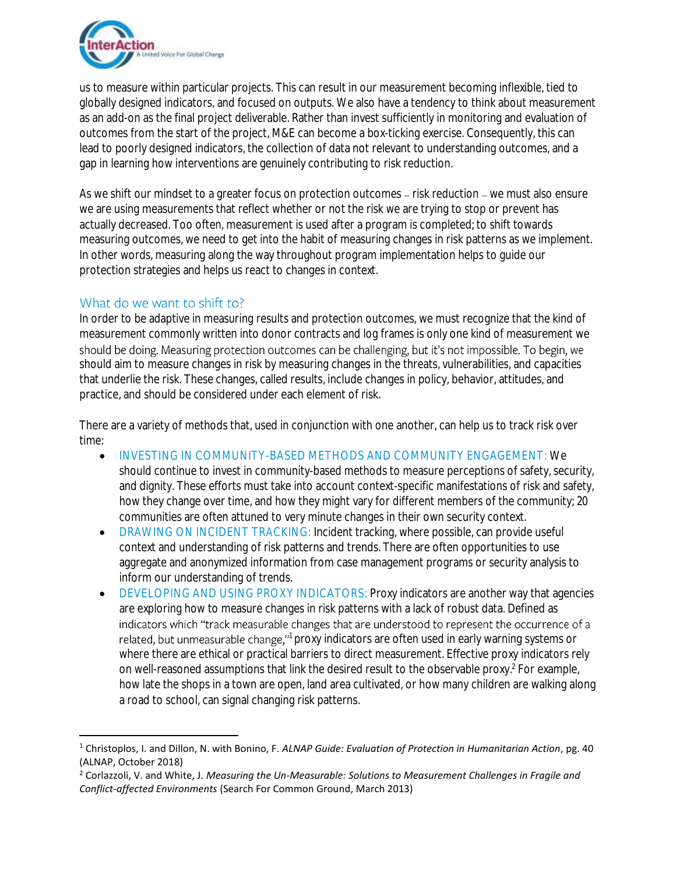

us to measure within particular projects. This can result in our measurement becoming inflexible, tied to globally designed indicators, and focused on outputs. We also have a tendency to think about measurement as an add-on as the final project deliverable. Rather than invest sufficiently in monitoring and evaluation of outcomes from the start of the project, M&E can become a box-ticking exercise. Consequently, this can lead to poorly designed indicators, the collection of data not relevant to understanding outcomes, and a gap in learning how interventions are genuinely contributing to risk reduction.

As we shift our mindset to a greater focus on protection outcomes - risk reduction - we must also ensure we are using measurements that reflect whether or not the risk we are trying to stop or prevent has actually decreased. Too often, measurement is used after a program is completed; to shift towards measuring outcomes, we need to get into the habit of measuring changes in risk patterns as we implement. In other words, measuring along the way throughout program implementation helps to guide our protection strategies and helps us react to changes in context.

### What do we want to shift to?

In order to be adaptive in measuring results and protection outcomes, we must recognize that the kind of measurement commonly written into donor contracts and log frames is only one kind of measurement we should be doing. Measuring protection outcomes can be challenging, but it's not impossible. To begin, we should aim to measure changes in risk by measuring changes in the threats, vulnerabilities, and capacities that underlie the risk. These changes, called results, include changes in policy, behavior, attitudes, and practice, and should be considered under each element of risk.

There are a variety of methods that, used in conjunction with one another, can help us to track risk over time:

- INVESTING IN COMMUNITY-BASED METHODS AND COMMUNITY ENGAGEMENT: We should continue to invest in community-based methods to measure perceptions of safety, security, and dignity. These efforts must take into account context-specific manifestations of risk and safety, how they change over time, and how they might vary for different members of the community; 20 communities are often attuned to very minute changes in their own security context.
- DRAWING ON INCIDENT TRACKING: Incident tracking, where possible, can provide useful context and understanding of risk patterns and trends. There are often opportunities to use aggregate and anonymized information from case management programs or security analysis to inform our understanding of trends.
- DEVELOPING AND USING PROXY INDICATORS: Proxy indicators are another way that agencies are exploring how to measure changes in risk patterns with a lack of robust data. Defined as indicators which "track measurable changes that are understood to represent the occurrence of a related, but unmeasurable change," proxy indicators are often used in early warning systems or where there are ethical or practical barriers to direct measurement. Effective proxy indicators rely on well-reasoned assumptions that link the desired result to the observable proxy.<sup>2</sup> For example, how late the shops in a town are open, land area cultivated, or how many children are walking along a road to school, can signal changing risk patterns.

<sup>1</sup> Christoplos, I. and Dillon, N. with Bonino, F. *ALNAP Guide: Evaluation of Protection in Humanitarian Action*, pg. 40 (ALNAP, October 2018)

<sup>2</sup> Corlazzoli, V. and White, J. *Measuring the Un-Measurable: Solutions to Measurement Challenges in Fragile and Conflict-affected Environments* (Search For Common Ground, March 2013)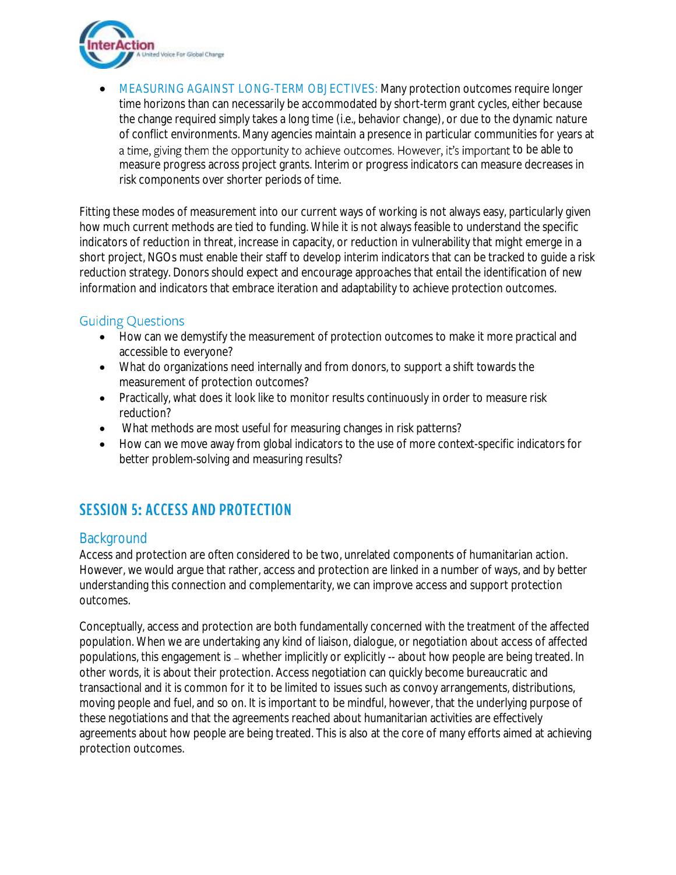

• MEASURING AGAINST LONG-TERM OBJECTIVES: Many protection outcomes require longer time horizons than can necessarily be accommodated by short-term grant cycles, either because the change required simply takes a long time (i.e., behavior change), or due to the dynamic nature of conflict environments. Many agencies maintain a presence in particular communities for years at a time, giving them the opportunity to achieve outcomes. However, it's important to be able to measure progress across project grants. Interim or progress indicators can measure decreases in risk components over shorter periods of time.

Fitting these modes of measurement into our current ways of working is not always easy, particularly given how much current methods are tied to funding. While it is not always feasible to understand the specific indicators of reduction in threat, increase in capacity, or reduction in vulnerability that might emerge in a short project, NGOs must enable their staff to develop interim indicators that can be tracked to guide a risk reduction strategy. Donors should expect and encourage approaches that entail the identification of new information and indicators that embrace iteration and adaptability to achieve protection outcomes.

## **Guiding Questions**

- How can we demystify the measurement of protection outcomes to make it more practical and accessible to everyone?
- What do organizations need internally and from donors, to support a shift towards the measurement of protection outcomes?
- Practically, what does it look like to monitor results continuously in order to measure risk reduction?
- What methods are most useful for measuring changes in risk patterns?
- How can we move away from global indicators to the use of more context-specific indicators for better problem-solving and measuring results?

## **SESSION 5: ACCESS AND PROTECTION**

## **Background**

Access and protection are often considered to be two, unrelated components of humanitarian action. However, we would argue that rather, access and protection are linked in a number of ways, and by better understanding this connection and complementarity, we can improve access and support protection outcomes.

Conceptually, access and protection are both fundamentally concerned with the treatment of the affected population. When we are undertaking any kind of liaison, dialogue, or negotiation about access of affected populations, this engagement is – whether implicitly or explicitly -- about how people are being treated. In other words, it is about their *protection*. Access negotiation can quickly become bureaucratic and transactional and it is common for it to be limited to issues such as convoy arrangements, distributions, moving people and fuel, and so on. It is important to be mindful, however, that the underlying purpose of these negotiations and that the agreements reached about humanitarian activities are effectively agreements about how people are being treated. This is also at the core of many efforts aimed at achieving protection outcomes.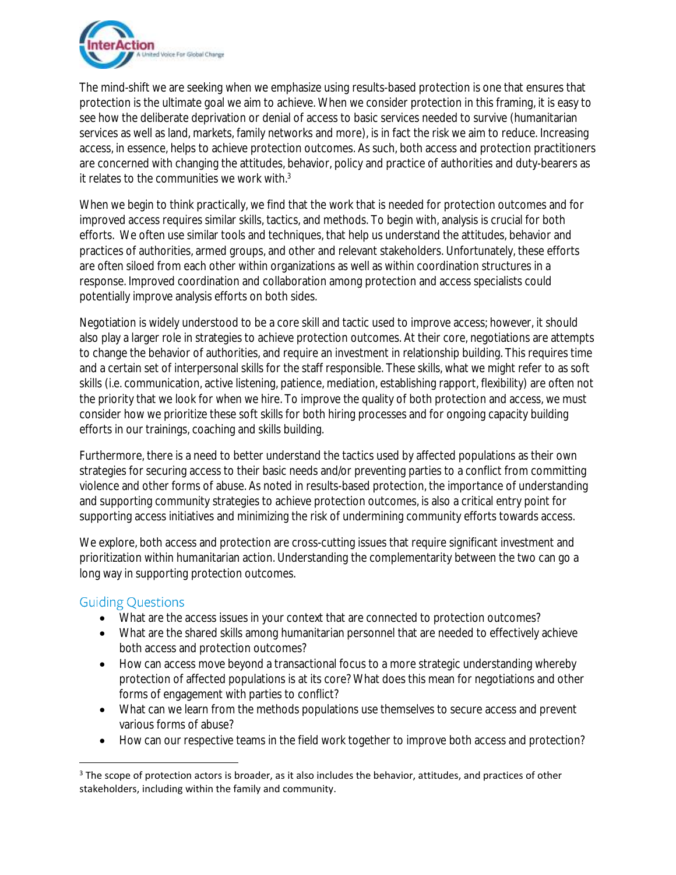

The mind-shift we are seeking when we emphasize using results-based protection is one that ensures that protection is the ultimate goal we aim to achieve. When we consider protection in this framing, it is easy to see how the deliberate deprivation or denial of access to basic services needed to survive (humanitarian services as well as land, markets, family networks and more), is in fact the risk we aim to reduce. Increasing access, in essence, helps to achieve protection outcomes. As such, both access and protection practitioners are concerned with changing the attitudes, behavior, policy and practice of authorities and duty-bearers as it relates to the communities we work with. $3$ 

When we begin to think practically, we find that the work that is needed for protection outcomes and for improved access requires similar skills, tactics, and methods. To begin with, analysis is crucial for both efforts. We often use similar tools and techniques, that help us understand the attitudes, behavior and practices of authorities, armed groups, and other and relevant stakeholders. Unfortunately, these efforts are often siloed from each other within organizations as well as within coordination structures in a response. Improved coordination and collaboration among protection and access specialists could potentially improve analysis efforts on both sides.

Negotiation is widely understood to be a core skill and tactic used to improve access; however, it should also play a larger role in strategies to achieve protection outcomes. At their core, negotiations are attempts to change the behavior of authorities, and require an investment in relationship building. This requires time and a certain set of interpersonal skills for the staff responsible. These skills, what we might refer to as soft skills (i.e. communication, active listening, patience, mediation, establishing rapport, flexibility) are often not the priority that we look for when we hire. To improve the quality of both protection and access, we must consider how we prioritize these soft skills for both hiring processes and for ongoing capacity building efforts in our trainings, coaching and skills building.

Furthermore, there is a need to better understand the tactics used by affected populations as their own strategies for securing access to their basic needs and/or preventing parties to a conflict from committing violence and other forms of abuse. As noted in results-based protection, the importance of understanding and supporting community strategies to achieve protection outcomes, is also a critical entry point for supporting access initiatives and minimizing the risk of undermining community efforts towards access.

We explore, both access and protection are cross-cutting issues that require significant investment and prioritization within humanitarian action. Understanding the complementarity between the two can go a long way in supporting protection outcomes.

#### **Guiding Questions**

- What are the access issues in your context that are connected to protection outcomes?
- What are the shared skills among humanitarian personnel that are needed to effectively achieve both access and protection outcomes?
- How can access move beyond a transactional focus to a more strategic understanding whereby protection of affected populations is at its core? What does this mean for negotiations and other forms of engagement with parties to conflict?
- What can we learn from the methods populations use themselves to secure access and prevent various forms of abuse?
- How can our respective teams in the field work together to improve both access and protection?

<sup>&</sup>lt;sup>3</sup> The scope of protection actors is broader, as it also includes the behavior, attitudes, and practices of other stakeholders, including within the family and community.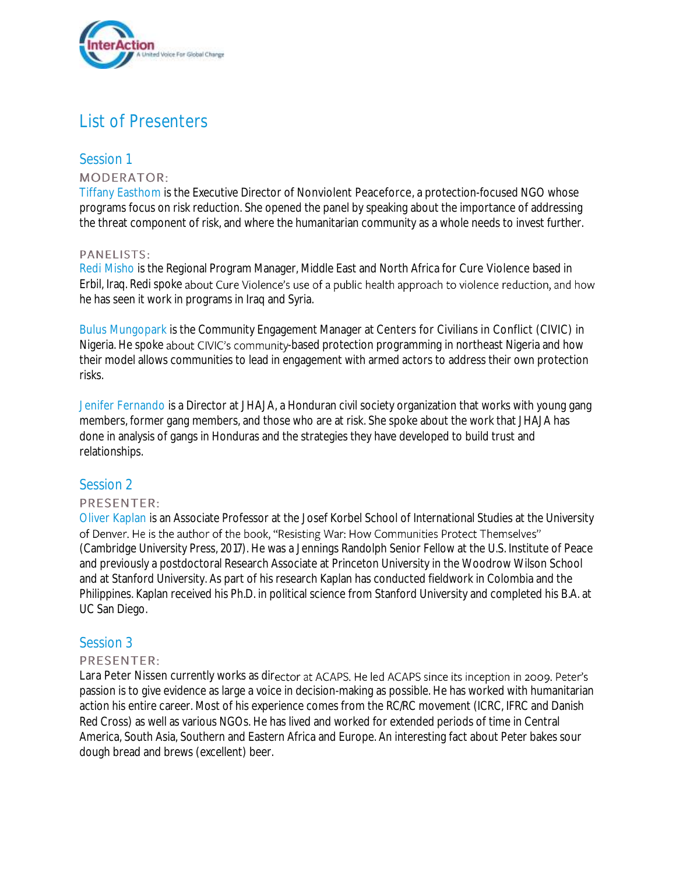

# List of Presenters

#### Session 1 **MODERATOR:**

Tiffany Easthom is the Executive Director of Nonviolent Peaceforce, a protection-focused NGO whose programs focus on risk reduction. She opened the panel by speaking about the importance of addressing the threat component of risk, and where the humanitarian community as a whole needs to invest further.

#### PANELISTS:

Redi Misho is the Regional Program Manager, Middle East and North Africa for Cure Violence based in Erbil, Iraq. Redi spoke about Cure Violence's use of a public health approach to violence reduction, and how he has seen it work in programs in Iraq and Syria.

Bulus Mungopark is the Community Engagement Manager at Centers for Civilians in Conflict (CIVIC) in Nigeria. He spoke about CIVIC's community-based protection programming in northeast Nigeria and how their model allows communities to lead in engagement with armed actors to address their own protection risks.

Jenifer Fernando is a Director at JHAJA, a Honduran civil society organization that works with young gang members, former gang members, and those who are at risk. She spoke about the work that JHAJA has done in analysis of gangs in Honduras and the strategies they have developed to build trust and relationships.

## Session 2

#### PRESENTER:

Oliver Kaplan is an Associate Professor at the Josef Korbel School of International Studies at the University of Denver. He is the author of the book, "Resisting War: How Communities Protect Themselves" (Cambridge University Press, 2017). He was a Jennings Randolph Senior Fellow at the U.S. Institute of Peace and previously a postdoctoral Research Associate at Princeton University in the Woodrow Wilson School and at Stanford University. As part of his research Kaplan has conducted fieldwork in Colombia and the Philippines. Kaplan received his Ph.D. in political science from Stanford University and completed his B.A. at UC San Diego.

#### Session 3

#### PRESENTER:

Lara Peter Nissen currently works as director at ACAPS. He led ACAPS since its inception in 2009. Peter's passion is to give evidence as large a voice in decision-making as possible. He has worked with humanitarian action his entire career. Most of his experience comes from the RC/RC movement (ICRC, IFRC and Danish Red Cross) as well as various NGOs. He has lived and worked for extended periods of time in Central America, South Asia, Southern and Eastern Africa and Europe. An interesting fact about Peter bakes sour dough bread and brews (excellent) beer.